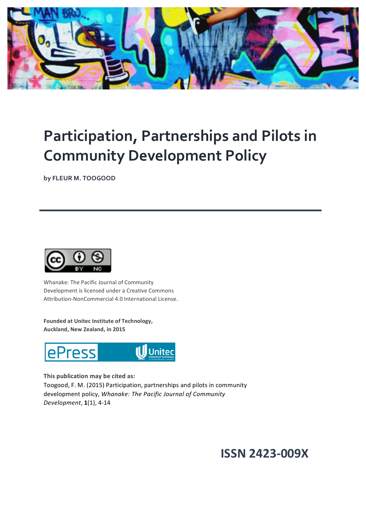

## **Participation, Partnerships and Pilots in Community Development Policy**

**by FLEUR M. TOOGOOD**



Whanake: The Pacific Journal of Community Development is licensed under a Creative Commons Attribution-NonCommercial 4.0 International License.

Founded at Unitec Institute of Technology, Auckland, New Zealand, in 2015



This publication may be cited as:

Toogood, F. M. (2015) Participation, partnerships and pilots in community development policy, *Whanake: The Pacific Journal of Community Development*, **1**(1), 4-14

### **ISSN 2423-009X**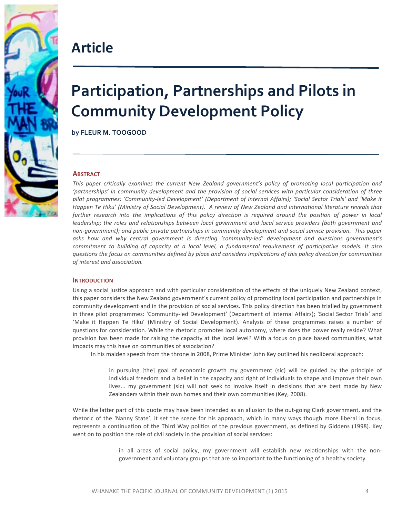

## **Article**

# **Participation, Partnerships and Pilots in Community Development Policy**

**by FLEUR M. TOOGOOD**

#### **ABSTRACT**

This paper critically examines the current New Zealand government's policy of promoting local participation and 'partnerships' in community development and the provision of social services with particular consideration of three pilot programmes: 'Community-led Development' (Department of Internal Affairs); 'Social Sector Trials' and 'Make it *Happen Te Hiku'* (Ministry of Social Development). A review of New Zealand and international literature reveals that further research into the *implications* of this policy direction is required around the position of power in local *leadership;* the roles and relationships between local government and local service providers (both government and non-government); and public private partnerships in community development and social service provision. This paper asks how and why central government is directing 'community-led' development and questions government's *commitment to building of capacity at a local level, a fundamental requirement of participative models. It also questions* the focus on communities defined by place and considers implications of this policy direction for communities  $of$  interest and association.

#### **INTRODUCTION**

Using a social justice approach and with particular consideration of the effects of the uniquely New Zealand context, this paper considers the New Zealand government's current policy of promoting local participation and partnerships in community development and in the provision of social services. This policy direction has been trialled by government in three pilot programmes: 'Community-led Development' (Department of Internal Affairs); 'Social Sector Trials' and 'Make it Happen Te Hiku' (Ministry of Social Development). Analysis of these programmes raises a number of questions for consideration. While the rhetoric promotes local autonomy, where does the power really reside? What provision has been made for raising the capacity at the local level? With a focus on place based communities, what impacts may this have on communities of association?

In his maiden speech from the throne in 2008, Prime Minister John Key outlined his neoliberal approach:

in pursuing [the] goal of economic growth my government (sic) will be guided by the principle of individual freedom and a belief in the capacity and right of individuals to shape and improve their own lives... my government (sic) will not seek to involve itself in decisions that are best made by New Zealanders within their own homes and their own communities (Key, 2008).

While the latter part of this quote may have been intended as an allusion to the out-going Clark government, and the rhetoric of the 'Nanny State', it set the scene for his approach, which in many ways though more liberal in focus, represents a continuation of the Third Way politics of the previous government, as defined by Giddens (1998). Key went on to position the role of civil society in the provision of social services:

> in all areas of social policy, my government will establish new relationships with the nongovernment and voluntary groups that are so important to the functioning of a healthy society.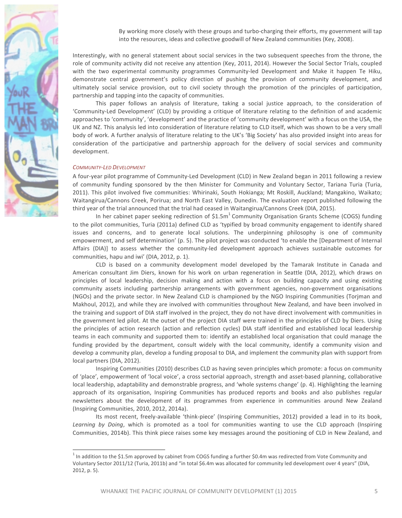

By working more closely with these groups and turbo-charging their efforts, my government will tap into the resources, ideas and collective goodwill of New Zealand communities (Key, 2008).

Interestingly, with no general statement about social services in the two subsequent speeches from the throne, the role of community activity did not receive any attention (Key, 2011, 2014). However the Social Sector Trials, coupled with the two experimental community programmes Community-led Development and Make it happen Te Hiku, demonstrate central government's policy direction of pushing the provision of community development, and ultimately social service provision, out to civil society through the promotion of the principles of participation, partnership and tapping into the capacity of communities.

This paper follows an analysis of literature, taking a social justice approach, to the consideration of 'Community-Led Development' (CLD) by providing a critique of literature relating to the definition of and academic approaches to 'community', 'development' and the practice of 'community development' with a focus on the USA, the UK and NZ. This analysis led into consideration of literature relating to CLD itself, which was shown to be a very small body of work. A further analysis of literature relating to the UK's 'Big Society' has also provided insight into areas for consideration of the participative and partnership approach for the delivery of social services and community development.

#### *COMMUNITY-LED DEVELOPMENT*

A four-year pilot programme of Community-Led Development (CLD) in New Zealand began in 2011 following a review of community funding sponsored by the then Minister for Community and Voluntary Sector, Tariana Turia (Turia, 2011). This pilot involved five communities: Whirinaki, South Hokianga; Mt Roskill, Auckland; Mangakino, Waikato; Waitangirua/Cannons Creek, Porirua; and North East Valley, Dunedin. The evaluation report published following the third year of the trial announced that the trial had ceased in Waitangirua/Cannons Creek (DIA, 2015).

In her cabinet paper seeking redirection of  $$1.5m<sup>1</sup>$  Community Organisation Grants Scheme (COGS) funding to the pilot communities, Turia (2011a) defined CLD as 'typified by broad community engagement to identify shared issues and concerns, and to generate local solutions. The underpinning philosophy is one of community empowerment, and self determination' (p. 5). The pilot project was conducted 'to enable the [Department of Internal Affairs (DIA)] to assess whether the community-led development approach achieves sustainable outcomes for communities, hapu and iwi' (DIA, 2012, p. 1).

CLD is based on a community development model developed by the Tamarak Institute in Canada and American consultant Jim Diers, known for his work on urban regeneration in Seattle (DIA, 2012), which draws on principles of local leadership, decision making and action with a focus on building capacity and using existing community assets including partnership arrangements with government agencies, non-government organisations (NGOs) and the private sector. In New Zealand CLD is championed by the NGO Inspiring Communities (Torjman and Makhoul, 2012), and while they are involved with communities throughout New Zealand, and have been involved in the training and support of DIA staff involved in the project, they do not have direct involvement with communities in the government led pilot. At the outset of the project DIA staff were trained in the principles of CLD by Diers. Using the principles of action research (action and reflection cycles) DIA staff identified and established local leadership teams in each community and supported them to: identify an established local organisation that could manage the funding provided by the department, consult widely with the local community, identify a community vision and develop a community plan, develop a funding proposal to DIA, and implement the community plan with support from local partners (DIA, 2012).

Inspiring Communities (2010) describes CLD as having seven principles which promote: a focus on community of 'place', empowerment of 'local voice', a cross sectorial approach, strength and asset-based planning, collaborative local leadership, adaptability and demonstrable progress, and 'whole systems change' (p. 4). Highlighting the learning approach of its organisation, Inspiring Communities has produced reports and books and also publishes regular newsletters about the development of its programmes from experience in communities around New Zealand (Inspiring Communities, 2010, 2012, 2014a).

Its most recent, freely-available 'think-piece' (Inspiring Communities, 2012) provided a lead in to its book, Learning by Doing, which is promoted as a tool for communities wanting to use the CLD approach (Inspiring Communities, 2014b). This think piece raises some key messages around the positioning of CLD in New Zealand, and

 $1$  In addition to the \$1.5m approved by cabinet from COGS funding a further \$0.4m was redirected from Vote Community and Voluntary Sector 2011/12 (Turia, 2011b) and "in total \$6.4m was allocated for community led development over 4 years" (DIA, 2012, p. 5).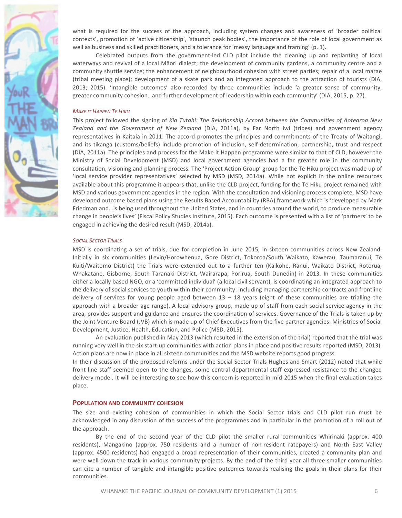

what is required for the success of the approach, including system changes and awareness of 'broader political contexts', promotion of 'active citizenship', 'staunch peak bodies', the importance of the role of local government as well as business and skilled practitioners, and a tolerance for 'messy language and framing' (p. 1).

Celebrated outputs from the government-led CLD pilot include the cleaning up and replanting of local waterways and revival of a local Māori dialect; the development of community gardens, a community centre and a community shuttle service; the enhancement of neighbourhood cohesion with street parties; repair of a local marae (tribal meeting place); development of a skate park and an integrated approach to the attraction of tourists (DIA, 2013; 2015). 'Intangible outcomes' also recorded by three communities include 'a greater sense of community, greater community cohesion...and further development of leadership within each community' (DIA, 2015, p. 27).

#### **MAKE IT HAPPEN TE HIKU**

This project followed the signing of *Kia Tutahi: The Relationship Accord between the Communities of Aotearoa New* Zealand and the Government of New Zealand (DIA, 2011a), by Far North iwi (tribes) and government agency representatives in Kaitaia in 2011. The accord promotes the principles and commitments of the Treaty of Waitangi, and its tikanga (customs/beliefs) include promotion of inclusion, self-determination, partnership, trust and respect (DIA, 2011a). The principles and process for the Make it Happen programme were similar to that of CLD, however the Ministry of Social Development (MSD) and local government agencies had a far greater role in the community consultation, visioning and planning process. The 'Project Action Group' group for the Te Hiku project was made up of 'local service provider representatives' selected by MSD (MSD, 2014a). While not explicit in the online resources available about this programme it appears that, unlike the CLD project, funding for the Te Hiku project remained with MSD and various government agencies in the region. With the consultation and visioning process complete, MSD have developed outcome based plans using the Results Based Accountability (RBA) framework which is 'developed by Mark Friedman and... is being used throughout the United States, and in countries around the world, to produce measurable change in people's lives' (Fiscal Policy Studies Institute, 2015). Each outcome is presented with a list of 'partners' to be engaged in achieving the desired result (MSD, 2014a).

#### **SOCIAL SECTOR TRIALS**

MSD is coordinating a set of trials, due for completion in June 2015, in sixteen communities across New Zealand. Initially in six communities (Levin/Horowhenua, Gore District, Tokoroa/South Waikato, Kawerau, Taumaranui, Te Kuiti/Waitomo District) the Trials were extended out to a further ten (Kaikohe, Ranui, Waikato District, Rotorua, Whakatane, Gisborne, South Taranaki District, Wairarapa, Porirua, South Dunedin) in 2013. In these communities either a locally based NGO, or a 'committed individual' (a local civil servant), is coordinating an integrated approach to the delivery of social services to youth within their community: including managing partnership contracts and frontline delivery of services for young people aged between  $13 - 18$  years (eight of these communities are trialling the approach with a broader age range). A local advisory group, made up of staff from each social service agency in the area, provides support and guidance and ensures the coordination of services. Governance of the Trials is taken up by the Joint Venture Board (JVB) which is made up of Chief Executives from the five partner agencies: Ministries of Social Development, Justice, Health, Education, and Police (MSD, 2015).

An evaluation published in May 2013 (which resulted in the extension of the trial) reported that the trial was running very well in the six start-up communities with action plans in place and positive results reported (MSD, 2013). Action plans are now in place in all sixteen communities and the MSD website reports good progress.

In their discussion of the proposed reforms under the Social Sector Trials Hughes and Smart (2012) noted that while front-line staff seemed open to the changes, some central departmental staff expressed resistance to the changed delivery model. It will be interesting to see how this concern is reported in mid-2015 when the final evaluation takes place.

#### **POPULATION AND COMMUNITY COHESION**

The size and existing cohesion of communities in which the Social Sector trials and CLD pilot run must be acknowledged in any discussion of the success of the programmes and in particular in the promotion of a roll out of the approach.

By the end of the second year of the CLD pilot the smaller rural communities Whirinaki (approx. 400 residents), Mangakino (approx. 750 residents and a number of non-resident ratepayers) and North East Valley (approx. 4500 residents) had engaged a broad representation of their communities, created a community plan and were well down the track in various community projects. By the end of the third year all three smaller communities can cite a number of tangible and intangible positive outcomes towards realising the goals in their plans for their communities.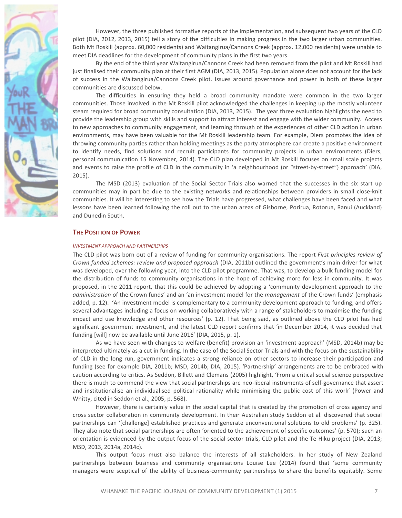

However, the three published formative reports of the implementation, and subsequent two years of the CLD pilot (DIA, 2012, 2013, 2015) tell a story of the difficulties in making progress in the two larger urban communities. Both Mt Roskill (approx. 60,000 residents) and Waitangirua/Cannons Creek (approx. 12,000 residents) were unable to meet DIA deadlines for the development of community plans in the first two years.

By the end of the third year Waitangirua/Cannons Creek had been removed from the pilot and Mt Roskill had just finalised their community plan at their first AGM (DIA, 2013, 2015). Population alone does not account for the lack of success in the Waitangirua/Cannons Creek pilot. Issues around governance and power in both of these larger communities are discussed below.

The difficulties in ensuring they held a broad community mandate were common in the two larger communities. Those involved in the Mt Roskill pilot acknowledged the challenges in keeping up the mostly volunteer steam required for broad community consultation (DIA, 2013, 2015). The year three evaluation highlights the need to provide the leadership group with skills and support to attract interest and engage with the wider community. Access to new approaches to community engagement, and learning through of the experiences of other CLD action in urban environments, may have been valuable for the Mt Roskill leadership team. For example, Diers promotes the idea of throwing community parties rather than holding meetings as the party atmosphere can create a positive environment to identify needs, find solutions and recruit participants for community projects in urban environments (Diers, personal communication 15 November, 2014). The CLD plan developed in Mt Roskill focuses on small scale projects and events to raise the profile of CLD in the community in 'a neighbourhood (or "street-by-street") approach' (DIA, 2015).

The MSD (2013) evaluation of the Social Sector Trials also warned that the successes in the six start up communities may in part be due to the existing networks and relationships between providers in small close-knit communities. It will be interesting to see how the Trials have progressed, what challenges have been faced and what lessons have been learned following the roll out to the urban areas of Gisborne, Porirua, Rotorua, Ranui (Auckland) and Dunedin South.

#### **THE POSITION OF POWER**

#### *INVESTMENT APPROACH AND PARTNERSHIPS*

The CLD pilot was born out of a review of funding for community organisations. The report *First principles review of Crown funded schemes: review and proposed approach* (DIA, 2011b) outlined the government's main driver for what was developed, over the following year, into the CLD pilot programme. That was, to develop a bulk funding model for the distribution of funds to community organisations in the hope of achieving more for less in community. It was proposed, in the 2011 report, that this could be achieved by adopting a 'community development approach to the *administration* of the Crown funds' and an 'an investment model for the *management* of the Crown funds' (emphasis added, p. 12). 'An investment model is complementary to a community development approach to funding, and offers several advantages including a focus on working collaboratively with a range of stakeholders to maximise the funding impact and use knowledge and other resources' (p. 12). That being said, as outlined above the CLD pilot has had significant government investment, and the latest CLD report confirms that 'in December 2014, it was decided that funding [will] now be available until June 2016' (DIA, 2015, p. 1).

As we have seen with changes to welfare (benefit) provision an 'investment approach' (MSD, 2014b) may be interpreted ultimately as a cut in funding. In the case of the Social Sector Trials and with the focus on the sustainability of CLD in the long run, government indicates a strong reliance on other sectors to increase their participation and funding (see for example DIA, 2011b; MSD, 2014b; DIA, 2015). 'Partnership' arrangements are to be embraced with caution according to critics. As Seddon, Billett and Clemans (2005) highlight, 'From a critical social science perspective there is much to commend the view that social partnerships are neo-liberal instruments of self-governance that assert and institutionalise an individualised political rationality while minimising the public cost of this work' (Power and Whitty, cited in Seddon et al., 2005, p. 568).

However, there is certainly value in the social capital that is created by the promotion of cross agency and cross sector collaboration in community development. In their Australian study Seddon et al. discovered that social partnerships can '[challenge] established practices and generate unconventional solutions to old problems' (p. 325). They also note that social partnerships are often 'oriented to the achievement of specific outcomes' (p. 570); such an orientation is evidenced by the output focus of the social sector trials, CLD pilot and the Te Hiku project (DIA, 2013; MSD, 2013, 2014a, 2014c).

This output focus must also balance the interests of all stakeholders. In her study of New Zealand partnerships between business and community organisations Louise Lee (2014) found that 'some community managers were sceptical of the ability of business-community partnerships to share the benefits equitably. Some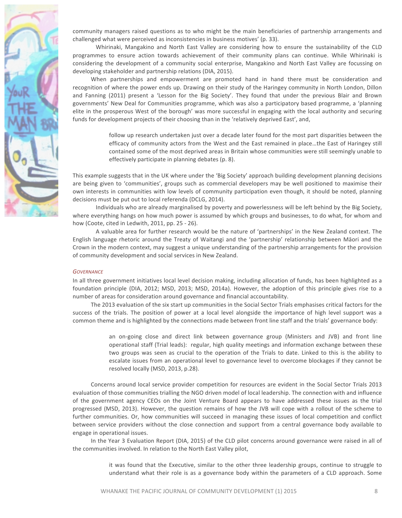

community managers raised questions as to who might be the main beneficiaries of partnership arrangements and challenged what were perceived as inconsistencies in business motives' (p. 33).

Whirinaki, Mangakino and North East Valley are considering how to ensure the sustainability of the CLD programmes to ensure action towards achievement of their community plans can continue. While Whirinaki is considering the development of a community social enterprise, Mangakino and North East Valley are focussing on developing stakeholder and partnership relations (DIA, 2015).

When partnerships and empowerment are promoted hand in hand there must be consideration and recognition of where the power ends up. Drawing on their study of the Haringey community in North London, Dillon and Fanning (2011) present a 'Lesson for the Big Society'. They found that under the previous Blair and Brown governments' New Deal for Communities programme, which was also a participatory based programme, a 'planning elite in the prosperous West of the borough' was more successful in engaging with the local authority and securing funds for development projects of their choosing than in the 'relatively deprived East', and,

> follow up research undertaken just over a decade later found for the most part disparities between the efficacy of community actors from the West and the East remained in place...the East of Haringey still contained some of the most deprived areas in Britain whose communities were still seemingly unable to effectively participate in planning debates (p. 8).

This example suggests that in the UK where under the 'Big Society' approach building development planning decisions are being given to 'communities', groups such as commercial developers may be well positioned to maximise their own interests in communities with low levels of community participation even though, it should be noted, planning decisions must be put out to local referenda (DCLG, 2014).

Individuals who are already marginalised by poverty and powerlessness will be left behind by the Big Society, where everything hangs on how much power is assumed by which groups and businesses, to do what, for whom and how (Coote, cited in Ledwith, 2011, pp. 25 - 26).

A valuable area for further research would be the nature of 'partnerships' in the New Zealand context. The English language rhetoric around the Treaty of Waitangi and the 'partnership' relationship between Māori and the Crown in the modern context, may suggest a unique understanding of the partnership arrangements for the provision of community development and social services in New Zealand.

#### *GOVERNANCE*

In all three government initiatives local level decision making, including allocation of funds, has been highlighted as a foundation principle (DIA, 2012; MSD, 2013; MSD, 2014a). However, the adoption of this principle gives rise to a number of areas for consideration around governance and financial accountability.

The 2013 evaluation of the six start up communities in the Social Sector Trials emphasises critical factors for the success of the trials. The position of power at a local level alongside the importance of high level support was a common theme and is highlighted by the connections made between front line staff and the trials' governance body:

> an on-going close and direct link between governance group (Ministers and JVB) and front line operational staff (Trial leads): regular, high quality meetings and information exchange between these two groups was seen as crucial to the operation of the Trials to date. Linked to this is the ability to escalate issues from an operational level to governance level to overcome blockages if they cannot be resolved locally (MSD, 2013, p.28).

Concerns around local service provider competition for resources are evident in the Social Sector Trials 2013 evaluation of those communities trialling the NGO driven model of local leadership. The connection with and influence of the government agency CEOs on the Joint Venture Board appears to have addressed these issues as the trial progressed (MSD, 2013). However, the question remains of how the JVB will cope with a rollout of the scheme to further communities. Or, how communities will succeed in managing these issues of local competition and conflict between service providers without the close connection and support from a central governance body available to engage in operational issues.

In the Year 3 Evaluation Report (DIA, 2015) of the CLD pilot concerns around governance were raised in all of the communities involved. In relation to the North East Valley pilot,

> it was found that the Executive, similar to the other three leadership groups, continue to struggle to understand what their role is as a governance body within the parameters of a CLD approach. Some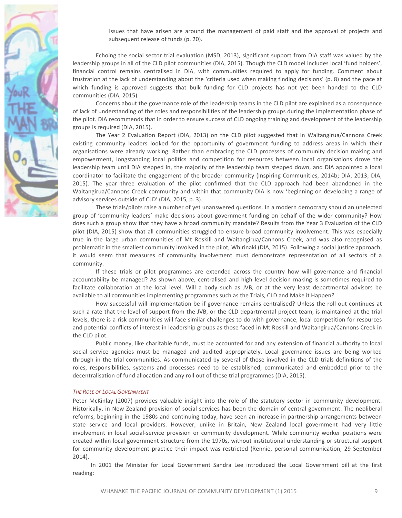

issues that have arisen are around the management of paid staff and the approval of projects and subsequent release of funds (p. 20).

Echoing the social sector trial evaluation (MSD, 2013), significant support from DIA staff was valued by the leadership groups in all of the CLD pilot communities (DIA, 2015). Though the CLD model includes local 'fund holders', financial control remains centralised in DIA, with communities required to apply for funding. Comment about frustration at the lack of understanding about the 'criteria used when making finding decisions' (p. 8) and the pace at which funding is approved suggests that bulk funding for CLD projects has not yet been handed to the CLD communities (DIA, 2015).

Concerns about the governance role of the leadership teams in the CLD pilot are explained as a consequence of lack of understanding of the roles and responsibilities of the leadership groups during the implementation phase of the pilot. DIA recommends that in order to ensure success of CLD ongoing training and development of the leadership groups is required (DIA, 2015).

The Year 2 Evaluation Report (DIA, 2013) on the CLD pilot suggested that in Waitangirua/Cannons Creek existing community leaders looked for the opportunity of government funding to address areas in which their organisations were already working. Rather than embracing the CLD processes of community decision making and empowerment, longstanding local politics and competition for resources between local organisations drove the leadership team until DIA stepped in, the majority of the leadership team stepped down, and DIA appointed a local coordinator to facilitate the engagement of the broader community (Inspiring Communities, 2014b; DIA, 2013; DIA, 2015). The year three evaluation of the pilot confirmed that the CLD approach had been abandoned in the Waitangirua/Cannons Creek community and within that community DIA is now 'beginning on developing a range of advisory services outside of CLD' (DIA, 2015, p. 3).

These trials/pilots raise a number of yet unanswered questions. In a modern democracy should an unelected group of 'community leaders' make decisions about government funding on behalf of the wider community? How does such a group show that they have a broad community mandate? Results from the Year 3 Evaluation of the CLD pilot (DIA, 2015) show that all communities struggled to ensure broad community involvement. This was especially true in the large urban communities of Mt Roskill and Waitangirua/Cannons Creek, and was also recognised as problematic in the smallest community involved in the pilot, Whirinaki (DIA, 2015). Following a social justice approach, it would seem that measures of community involvement must demonstrate representation of all sectors of a community. 

If these trials or pilot programmes are extended across the country how will governance and financial accountability be managed? As shown above, centralised and high level decision making is sometimes required to facilitate collaboration at the local level. Will a body such as JVB, or at the very least departmental advisors be available to all communities implementing programmes such as the Trials, CLD and Make it Happen?

How successful will implementation be if governance remains centralised? Unless the roll out continues at such a rate that the level of support from the JVB, or the CLD departmental project team, is maintained at the trial levels, there is a risk communities will face similar challenges to do with governance, local competition for resources and potential conflicts of interest in leadership groups as those faced in Mt Roskill and Waitangirua/Cannons Creek in the CLD pilot.

Public money, like charitable funds, must be accounted for and any extension of financial authority to local social service agencies must be managed and audited appropriately. Local governance issues are being worked through in the trial communities. As communicated by several of those involved in the CLD trials definitions of the roles, responsibilities, systems and processes need to be established, communicated and embedded prior to the decentralisation of fund allocation and any roll out of these trial programmes (DIA, 2015).

#### **THE ROLE OF LOCAL GOVERNMENT**

Peter McKinlay (2007) provides valuable insight into the role of the statutory sector in community development. Historically, in New Zealand provision of social services has been the domain of central government. The neoliberal reforms, beginning in the 1980s and continuing today, have seen an increase in partnership arrangements between state service and local providers. However, unlike in Britain, New Zealand local government had very little involvement in local social-service provision or community development. While community worker positions were created within local government structure from the 1970s, without institutional understanding or structural support for community development practice their impact was restricted (Rennie, personal communication, 29 September 2014). 

In 2001 the Minister for Local Government Sandra Lee introduced the Local Government bill at the first reading: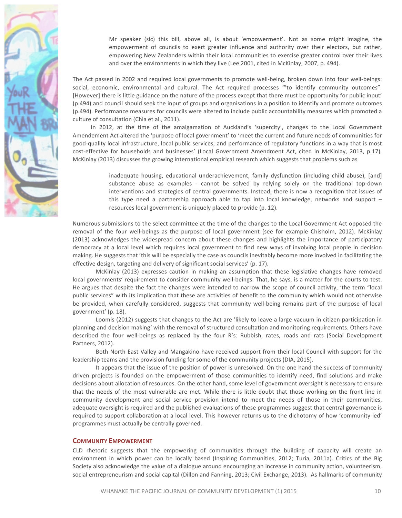

Mr speaker (sic) this bill, above all, is about 'empowerment'. Not as some might imagine, the empowerment of councils to exert greater influence and authority over their electors, but rather, empowering New Zealanders within their local communities to exercise greater control over their lives and over the environments in which they live (Lee 2001, cited in McKinlay, 2007, p. 494).

The Act passed in 2002 and required local governments to promote well-being, broken down into four well-beings: social, economic, environmental and cultural. The Act required processes "to identify community outcomes". [However] there is little guidance on the nature of the process except that there must be opportunity for public input' (p.494) and council should seek the input of groups and organisations in a position to identify and promote outcomes (p.494). Performance measures for councils were altered to include public accountability measures which promoted a culture of consultation (Chia et al., 2011).

In 2012, at the time of the amalgamation of Auckland's 'supercity', changes to the Local Government Amendement Act altered the 'purpose of local government' to 'meet the current and future needs of communities for good-quality local infrastructure, local public services, and performance of regulatory functions in a way that is most cost-effective for households and businesses' (Local Government Amendment Act, cited in McKinlay, 2013, p.17). McKinlay (2013) discusses the growing international empirical research which suggests that problems such as

> inadequate housing, educational underachievement, family dysfunction (including child abuse), [and] substance abuse as examples - cannot be solved by relying solely on the traditional top-down interventions and strategies of central governments. Instead, there is now a recognition that issues of this type need a partnership approach able to tap into local knowledge, networks and support  $$ resources local government is uniquely placed to provide (p. 12).

Numerous submissions to the select committee at the time of the changes to the Local Government Act opposed the removal of the four well-beings as the purpose of local government (see for example Chisholm, 2012). McKinlay (2013) acknowledges the widespread concern about these changes and highlights the importance of participatory democracy at a local level which requires local government to find new ways of involving local people in decision making. He suggests that 'this will be especially the case as councils inevitably become more involved in facilitating the effective design, targeting and delivery of significant social services' (p. 17).

McKinlay (2013) expresses caution in making an assumption that these legislative changes have removed local governments' requirement to consider community well-beings. That, he says, is a matter for the courts to test. He argues that despite the fact the changes were intended to narrow the scope of council activity, 'the term "local public services" with its implication that these are activities of benefit to the community which would not otherwise be provided, when carefully considered, suggests that community well-being remains part of the purpose of local government' (p. 18).

Loomis (2012) suggests that changes to the Act are 'likely to leave a large vacuum in citizen participation in planning and decision making' with the removal of structured consultation and monitoring requirements. Others have described the four well-beings as replaced by the four R's: Rubbish, rates, roads and rats (Social Development Partners, 2012). 

Both North East Valley and Mangakino have received support from their local Council with support for the leadership teams and the provision funding for some of the community projects (DIA, 2015).

It appears that the issue of the position of power is unresolved. On the one hand the success of community driven projects is founded on the empowerment of those communities to identify need, find solutions and make decisions about allocation of resources. On the other hand, some level of government oversight is necessary to ensure that the needs of the most vulnerable are met. While there is little doubt that those working on the front line in community development and social service provision intend to meet the needs of those in their communities, adequate oversight is required and the published evaluations of these programmes suggest that central governance is required to support collaboration at a local level. This however returns us to the dichotomy of how 'community-led' programmes must actually be centrally governed.

#### **COMMUNITY EMPOWERMENT**

CLD rhetoric suggests that the empowering of communities through the building of capacity will create an environment in which power can be locally based (Inspiring Communities, 2012; Turia, 2011a). Critics of the Big Society also acknowledge the value of a dialogue around encouraging an increase in community action, volunteerism, social entrepreneurism and social capital (Dillon and Fanning, 2013; Civil Exchange, 2013). As hallmarks of community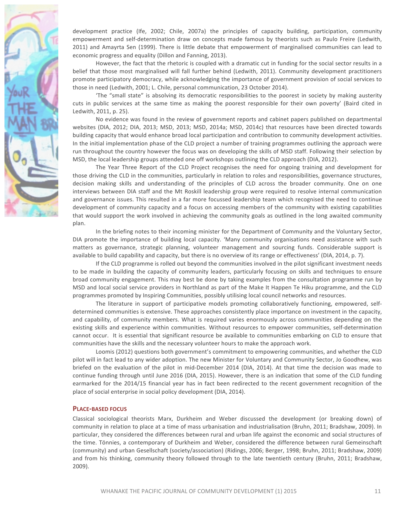

development practice (Ife, 2002; Chile, 2007a) the principles of capacity building, participation, community empowerment and self-determination draw on concepts made famous by theorists such as Paulo Freire (Ledwith, 2011) and Amayrta Sen (1999). There is little debate that empowerment of marginalised communities can lead to economic progress and equality (Dillon and Fanning, 2013).

However, the fact that the rhetoric is coupled with a dramatic cut in funding for the social sector results in a belief that those most marginalised will fall further behind (Ledwith, 2011). Community development practitioners promote participatory democracy, while acknowledging the importance of government provision of social services to those in need (Ledwith, 2001; L. Chile, personal communication, 23 October 2014).

'The "small state" is absolving its democratic responsibilities to the poorest in society by making austerity cuts in public services at the same time as making the poorest responsible for their own poverty' (Baird cited in Ledwith, 2011, p. 25).

No evidence was found in the review of government reports and cabinet papers published on departmental websites (DIA, 2012; DIA, 2013; MSD, 2013; MSD, 2014a; MSD, 2014c) that resources have been directed towards building capacity that would enhance broad local participation and contribution to community development activities. In the initial implementation phase of the CLD project a number of training programmes outlining the approach were run throughout the country however the focus was on developing the skills of MSD staff. Following their selection by MSD, the local leadership groups attended one off workshops outlining the CLD approach (DIA, 2012).

The Year Three Report of the CLD Project recognises the need for ongoing training and development for those driving the CLD in the communities, particularly in relation to roles and responsibilities, governance structures, decision making skills and understanding of the principles of CLD across the broader community. One on one interviews between DIA staff and the Mt Roskill leadership group were required to resolve internal communication and governance issues. This resulted in a far more focussed leadership team which recognised the need to continue development of community capacity and a focus on accessing members of the community with existing capabilities that would support the work involved in achieving the community goals as outlined in the long awaited community plan. 

In the briefing notes to their incoming minister for the Department of Community and the Voluntary Sector, DIA promote the importance of building local capacity. 'Many community organisations need assistance with such matters as governance, strategic planning, volunteer management and sourcing funds. Considerable support is available to build capability and capacity, but there is no overview of its range or effectiveness' (DIA, 2014, p. 7).

If the CLD programme is rolled out beyond the communities involved in the pilot significant investment needs to be made in building the capacity of community leaders, particularly focusing on skills and techniques to ensure broad community engagement. This may best be done by taking examples from the consultation programme run by MSD and local social service providers in Northland as part of the Make It Happen Te Hiku programme, and the CLD programmes promoted by Inspiring Communities, possibly utilising local council networks and resources.

The literature in support of participative models promoting collaboratively functioning, empowered, selfdetermined communities is extensive. These approaches consistently place importance on investment in the capacity, and capability, of community members. What is required varies enormously across communities depending on the existing skills and experience within communities. Without resources to empower communities, self-determination cannot occur. It is essential that significant resource be available to communities embarking on CLD to ensure that communities have the skills and the necessary volunteer hours to make the approach work.

Loomis (2012) questions both government's commitment to empowering communities, and whether the CLD pilot will in fact lead to any wider adoption. The new Minister for Voluntary and Community Sector, Jo Goodhew, was briefed on the evaluation of the pilot in mid-December 2014 (DIA, 2014). At that time the decision was made to continue funding through until June 2016 (DIA, 2015). However, there is an indication that some of the CLD funding earmarked for the 2014/15 financial year has in fact been redirected to the recent government recognition of the place of social enterprise in social policy development (DIA, 2014).

#### **PLACE-BASED FOCUS**

Classical sociological theorists Marx, Durkheim and Weber discussed the development (or breaking down) of community in relation to place at a time of mass urbanisation and industrialisation (Bruhn, 2011; Bradshaw, 2009). In particular, they considered the differences between rural and urban life against the economic and social structures of the time. Tönnies, a contemporary of Durkheim and Weber, considered the difference between rural Gemeinschaft (community) and urban Gesellschaft (society/association) (Ridings, 2006; Berger, 1998; Bruhn, 2011; Bradshaw, 2009) and from his thinking, community theory followed through to the late twentieth century (Bruhn, 2011; Bradshaw, 2009).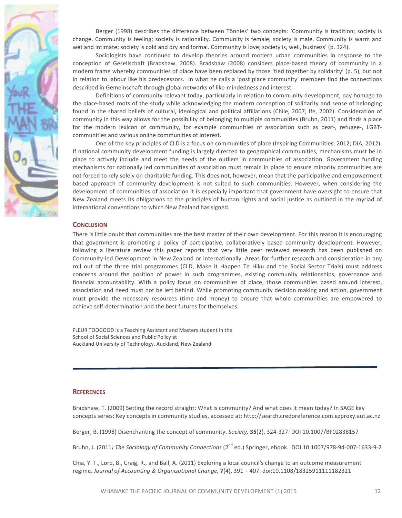

Berger (1998) describes the difference between Tönnies' two concepts: 'Community is tradition; society is change. Community is feeling; society is rationality. Community is female; society is male. Community is warm and wet and intimate; society is cold and dry and formal. Community is love; society is, well, business' (p. 324).

Sociologists have continued to develop theories around modern urban communities in response to the conception of Gesellschaft (Bradshaw, 2008). Bradshaw (2008) considers place-based theory of community in a modern frame whereby communities of place have been replaced by those 'tied together by solidarity' (p. 5), but not in relation to labour like his predecessors. In what he calls a 'post place community' members find the connections described in Gemeinschaft through global networks of like-mindedness and interest.

Definitions of community relevant today, particularly in relation to community development, pay homage to the place-based roots of the study while acknowledging the modern conception of solidarity and sense of belonging found in the shared beliefs of cultural, ideological and political affiliations (Chile, 2007; Ife, 2002). Consideration of community in this way allows for the possibility of belonging to multiple communities (Bruhn, 2011) and finds a place for the modern lexicon of community, for example communities of association such as deaf-, refugee-, LGBTcommunities and various online communities of interest.

One of the key principles of CLD is a focus on communities of place (Inspiring Communities, 2012; DIA, 2012). If national community development funding is largely directed to geographical communities, mechanisms must be in place to actively include and meet the needs of the outliers in communities of association. Government funding mechanisms for nationally led communities of association must remain in place to ensure minority communities are not forced to rely solely on charitable funding. This does not, however, mean that the participative and empowerment based approach of community development is not suited to such communities. However, when considering the development of communities of association it is especially important that government have oversight to ensure that New Zealand meets its obligations to the principles of human rights and social justice as outlined in the myriad of international conventions to which New Zealand has signed.

#### **CONCLUSION**

There is little doubt that communities are the best master of their own development. For this reason it is encouraging that government is promoting a policy of participative, collaboratively based community development. However, following a literature review this paper reports that very little peer reviewed research has been published on Community-led Development in New Zealand or internationally. Areas for further research and consideration in any roll out of the three trial programmes (CLD, Make it Happen Te Hiku and the Social Sector Trials) must address concerns around the position of power in such programmes, existing community relationships, governance and financial accountability. With a policy focus on communities of place, those communities based around interest, association and need must not be left behind. While promoting community decision making and action, government must provide the necessary resources (time and money) to ensure that whole communities are empowered to achieve self-determination and the best futures for themselves.

FLEUR TOOGOOD is a Teaching Assistant and Masters student in the School of Social Sciences and Public Policy at Auckland University of Technology, Auckland, New Zealand

#### **REFERENCES**

Bradshaw, T. (2009) Setting the record straight: What is community? And what does it mean today? In SAGE key concepts series: Key concepts in community studies, accessed at: http://search.credoreference.com.ezproxy.aut.ac.nz

Berger, B. (1998) Disenchanting the concept of community. *Society*, 35(2), 324-327. DOI 10.1007/BF02838157

Bruhn, J. (2011) The Sociology of Community Connections (2<sup>nd</sup> ed.) Springer, ebook. DOI 10.1007/978-94-007-1633-9-2

Chia, Y. T., Lord, B., Craig, R., and Ball, A. (2011) Exploring a local council's change to an outcome measurement regime. Journal of Accounting & Organizational Change, **7**(4), 391 - 407. doi:10.1108/18325911111182321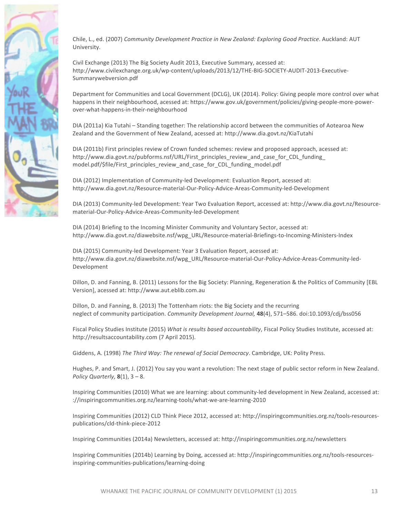

Chile, L., ed. (2007) *Community Development Practice in New Zealand: Exploring Good Practice*. Auckland: AUT University.

Civil Exchange (2013) The Big Society Audit 2013, Executive Summary, acessed at: http://www.civilexchange.org.uk/wp-content/uploads/2013/12/THE-BIG-SOCIETY-AUDIT-2013-Executive-Summarywebversion.pdf

Department for Communities and Local Government (DCLG), UK (2014). Policy: Giving people more control over what happens in their neighbourhood, acessed at: https://www.gov.uk/government/policies/giving-people-more-powerover-what-happens-in-their-neighbourhood

DIA (2011a) Kia Tutahi – Standing together: The relationship accord between the communities of Aotearoa New Zealand and the Government of New Zealand, acessed at: http://www.dia.govt.nz/KiaTutahi

DIA (2011b) First principles review of Crown funded schemes: review and proposed approach, acessed at: http://www.dia.govt.nz/pubforms.nsf/URL/First\_principles\_review\_and\_case\_for\_CDL\_funding model.pdf/\$file/First\_principles\_review\_and\_case\_for\_CDL\_funding\_model.pdf

DIA (2012) Implementation of Community-led Development: Evaluation Report, acessed at: http://www.dia.govt.nz/Resource-material-Our-Policy-Advice-Areas-Community-led-Development

DIA (2013) Community-led Development: Year Two Evaluation Report, accessed at: http://www.dia.govt.nz/Resourcematerial-Our-Policy-Advice-Areas-Community-led-Development

DIA (2014) Briefing to the Incoming Minister Community and Voluntary Sector, acessed at: http://www.dia.govt.nz/diawebsite.nsf/wpg\_URL/Resource-material-Briefings-to-Incoming-Ministers-Index

DIA (2015) Community-led Development: Year 3 Evaluation Report, acessed at: http://www.dia.govt.nz/diawebsite.nsf/wpg\_URL/Resource-material-Our-Policy-Advice-Areas-Community-led-Development

Dillon, D. and Fanning, B. (2011) Lessons for the Big Society: Planning, Regeneration & the Politics of Community [EBL Version], acessed at: http://www.aut.eblib.com.au

Dillon, D. and Fanning, B. (2013) The Tottenham riots: the Big Society and the recurring neglect of community participation. *Community Development Journal*, **48**(4), 571–586. doi:10.1093/cdj/bss056

Fiscal Policy Studies Institute (2015) *What is results based accountability*, Fiscal Policy Studies Institute, accessed at: http://resultsaccountability.com (7 April 2015).

Giddens, A. (1998) The Third Way: The renewal of Social Democracy. Cambridge, UK: Polity Press.

Hughes, P. and Smart, J. (2012) You say you want a revolution: The next stage of public sector reform in New Zealand. *Policy Quarterly,*  $8(1)$ ,  $3 - 8$ .

Inspiring Communities (2010) What we are learning: about community-led development in New Zealand, accessed at: ://inspiringcommunities.org.nz/learning-tools/what-we-are-learning-2010

Inspiring Communities (2012) CLD Think Piece 2012, accessed at: http://inspiringcommunities.org.nz/tools-resourcespublications/cld-think-piece-2012

Inspiring Communities (2014a) Newsletters, accessed at: http://inspiringcommunities.org.nz/newsletters

Inspiring Communities (2014b) Learning by Doing, accessed at: http://inspiringcommunities.org.nz/tools-resourcesinspiring-communities-publications/learning-doing